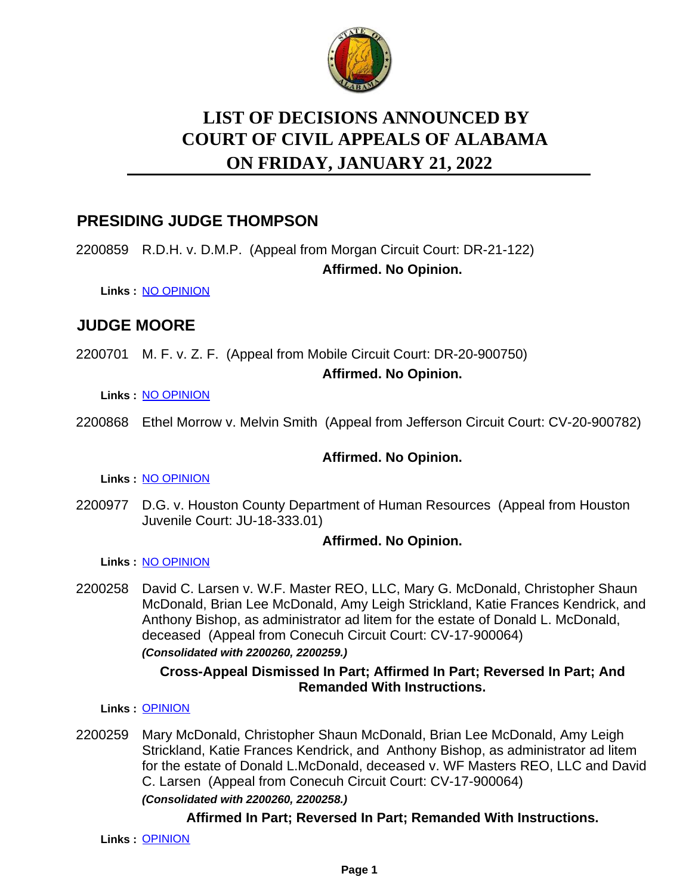

# **LIST OF DECISIONS ANNOUNCED BY ON FRIDAY, JANUARY 21, 2022 COURT OF CIVIL APPEALS OF ALABAMA**

## **PRESIDING JUDGE THOMPSON**

2200859 R.D.H. v. D.M.P. (Appeal from Morgan Circuit Court: DR-21-122)

## **Affirmed. No Opinion.**

**Links :** [NO OPINION](https://acis.alabama.gov/displaydocs.cfm?no=1116659&event=68V0L2K69)

## **JUDGE MOORE**

2200701 M. F. v. Z. F. (Appeal from Mobile Circuit Court: DR-20-900750)

#### **Affirmed. No Opinion.**

**Links :** [NO OPINION](https://acis.alabama.gov/displaydocs.cfm?no=1116656&event=68V0L2JFC)

2200868 Ethel Morrow v. Melvin Smith (Appeal from Jefferson Circuit Court: CV-20-900782)

## **Affirmed. No Opinion.**

**Links :** [NO OPINION](https://acis.alabama.gov/displaydocs.cfm?no=1116660&event=68V0L2KDK)

2200977 D.G. v. Houston County Department of Human Resources (Appeal from Houston Juvenile Court: JU-18-333.01)

## **Affirmed. No Opinion.**

**Links :** [NO OPINION](https://acis.alabama.gov/displaydocs.cfm?no=1116661&event=68V0L2KM7)

2200258 David C. Larsen v. W.F. Master REO, LLC, Mary G. McDonald, Christopher Shaun McDonald, Brian Lee McDonald, Amy Leigh Strickland, Katie Frances Kendrick, and Anthony Bishop, as administrator ad litem for the estate of Donald L. McDonald, deceased (Appeal from Conecuh Circuit Court: CV-17-900064) *(Consolidated with 2200260, 2200259.)*

### **Cross-Appeal Dismissed In Part; Affirmed In Part; Reversed In Part; And Remanded With Instructions.**

**Links :** [OPINION](https://acis.alabama.gov/displaydocs.cfm?no=1116654&event=68V0L2IHY)

2200259 Mary McDonald, Christopher Shaun McDonald, Brian Lee McDonald, Amy Leigh Strickland, Katie Frances Kendrick, and Anthony Bishop, as administrator ad litem for the estate of Donald L.McDonald, deceased v. WF Masters REO, LLC and David C. Larsen (Appeal from Conecuh Circuit Court: CV-17-900064) *(Consolidated with 2200260, 2200258.)*

## **Affirmed In Part; Reversed In Part; Remanded With Instructions.**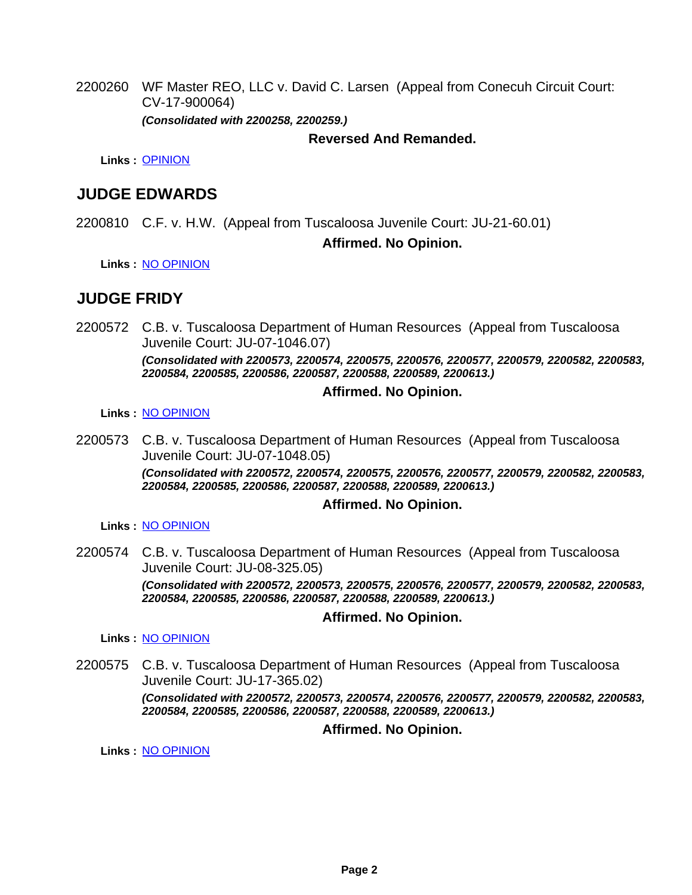2200260 WF Master REO, LLC v. David C. Larsen (Appeal from Conecuh Circuit Court: CV-17-900064) *(Consolidated with 2200258, 2200259.)*

#### **Reversed And Remanded.**

**Links :** [OPINION](https://acis.alabama.gov/displaydocs.cfm?no=1116654&event=68V0L2IHY)

## **JUDGE EDWARDS**

2200810 C.F. v. H.W. (Appeal from Tuscaloosa Juvenile Court: JU-21-60.01)

#### **Affirmed. No Opinion.**

**Links :** [NO OPINION](https://acis.alabama.gov/displaydocs.cfm?no=1116658&event=68V0L2JXY)

## **JUDGE FRIDY**

2200572 C.B. v. Tuscaloosa Department of Human Resources (Appeal from Tuscaloosa Juvenile Court: JU-07-1046.07)

> *(Consolidated with 2200573, 2200574, 2200575, 2200576, 2200577, 2200579, 2200582, 2200583, 2200584, 2200585, 2200586, 2200587, 2200588, 2200589, 2200613.)*

#### **Affirmed. No Opinion.**

**Links :** [NO OPINION](https://acis.alabama.gov/displaydocs.cfm?no=1116655&event=68V0L2J4M)

2200573 C.B. v. Tuscaloosa Department of Human Resources (Appeal from Tuscaloosa Juvenile Court: JU-07-1048.05) *(Consolidated with 2200572, 2200574, 2200575, 2200576, 2200577, 2200579, 2200582, 2200583, 2200584, 2200585, 2200586, 2200587, 2200588, 2200589, 2200613.)*

#### **Affirmed. No Opinion.**

**Links :** [NO OPINION](https://acis.alabama.gov/displaydocs.cfm?no=1116655&event=68V0L2J4M)

2200574 C.B. v. Tuscaloosa Department of Human Resources (Appeal from Tuscaloosa Juvenile Court: JU-08-325.05) *(Consolidated with 2200572, 2200573, 2200575, 2200576, 2200577, 2200579, 2200582, 2200583, 2200584, 2200585, 2200586, 2200587, 2200588, 2200589, 2200613.)*

#### **Affirmed. No Opinion.**

**Links :** [NO OPINION](https://acis.alabama.gov/displaydocs.cfm?no=1116655&event=68V0L2J4M)

2200575 C.B. v. Tuscaloosa Department of Human Resources (Appeal from Tuscaloosa Juvenile Court: JU-17-365.02) *(Consolidated with 2200572, 2200573, 2200574, 2200576, 2200577, 2200579, 2200582, 2200583,*

*2200584, 2200585, 2200586, 2200587, 2200588, 2200589, 2200613.)*

**Affirmed. No Opinion.**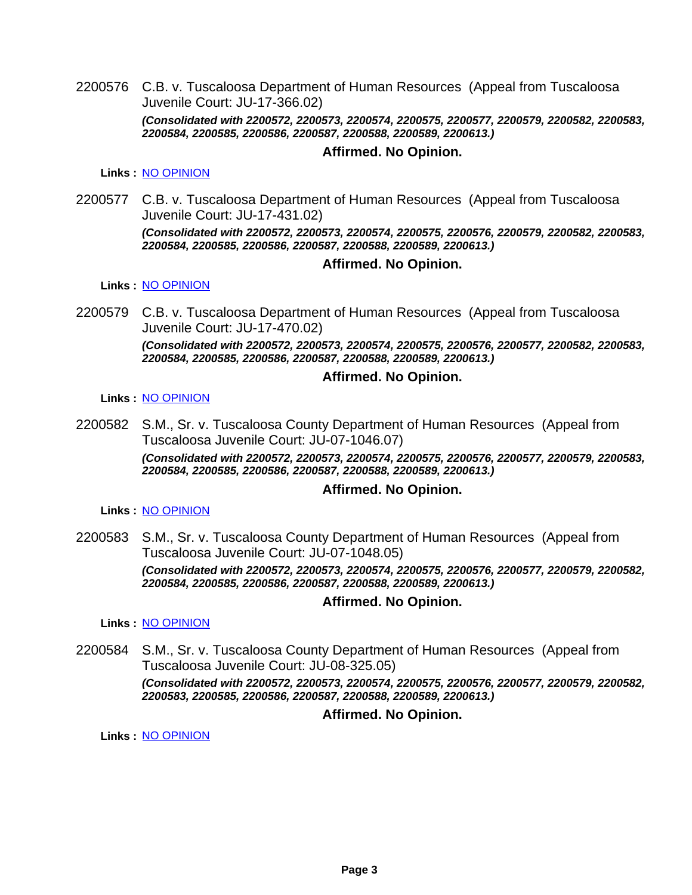2200576 C.B. v. Tuscaloosa Department of Human Resources (Appeal from Tuscaloosa Juvenile Court: JU-17-366.02) *(Consolidated with 2200572, 2200573, 2200574, 2200575, 2200577, 2200579, 2200582, 2200583, 2200584, 2200585, 2200586, 2200587, 2200588, 2200589, 2200613.)*

#### **Affirmed. No Opinion.**

**Links :** [NO OPINION](https://acis.alabama.gov/displaydocs.cfm?no=1116655&event=68V0L2J4M)

2200577 C.B. v. Tuscaloosa Department of Human Resources (Appeal from Tuscaloosa Juvenile Court: JU-17-431.02)

> *(Consolidated with 2200572, 2200573, 2200574, 2200575, 2200576, 2200579, 2200582, 2200583, 2200584, 2200585, 2200586, 2200587, 2200588, 2200589, 2200613.)*

#### **Affirmed. No Opinion.**

**Links :** [NO OPINION](https://acis.alabama.gov/displaydocs.cfm?no=1116655&event=68V0L2J4M)

2200579 C.B. v. Tuscaloosa Department of Human Resources (Appeal from Tuscaloosa Juvenile Court: JU-17-470.02) *(Consolidated with 2200572, 2200573, 2200574, 2200575, 2200576, 2200577, 2200582, 2200583, 2200584, 2200585, 2200586, 2200587, 2200588, 2200589, 2200613.)*

#### **Affirmed. No Opinion.**

**Links :** [NO OPINION](https://acis.alabama.gov/displaydocs.cfm?no=1116655&event=68V0L2J4M)

2200582 S.M., Sr. v. Tuscaloosa County Department of Human Resources (Appeal from Tuscaloosa Juvenile Court: JU-07-1046.07) *(Consolidated with 2200572, 2200573, 2200574, 2200575, 2200576, 2200577, 2200579, 2200583, 2200584, 2200585, 2200586, 2200587, 2200588, 2200589, 2200613.)*

#### **Affirmed. No Opinion.**

**Links :** [NO OPINION](https://acis.alabama.gov/displaydocs.cfm?no=1116655&event=68V0L2J4M)

2200583 S.M., Sr. v. Tuscaloosa County Department of Human Resources (Appeal from Tuscaloosa Juvenile Court: JU-07-1048.05) *(Consolidated with 2200572, 2200573, 2200574, 2200575, 2200576, 2200577, 2200579, 2200582, 2200584, 2200585, 2200586, 2200587, 2200588, 2200589, 2200613.)*

#### **Affirmed. No Opinion.**

**Links :** [NO OPINION](https://acis.alabama.gov/displaydocs.cfm?no=1116655&event=68V0L2J4M)

2200584 S.M., Sr. v. Tuscaloosa County Department of Human Resources (Appeal from Tuscaloosa Juvenile Court: JU-08-325.05) *(Consolidated with 2200572, 2200573, 2200574, 2200575, 2200576, 2200577, 2200579, 2200582, 2200583, 2200585, 2200586, 2200587, 2200588, 2200589, 2200613.)*

#### **Affirmed. No Opinion.**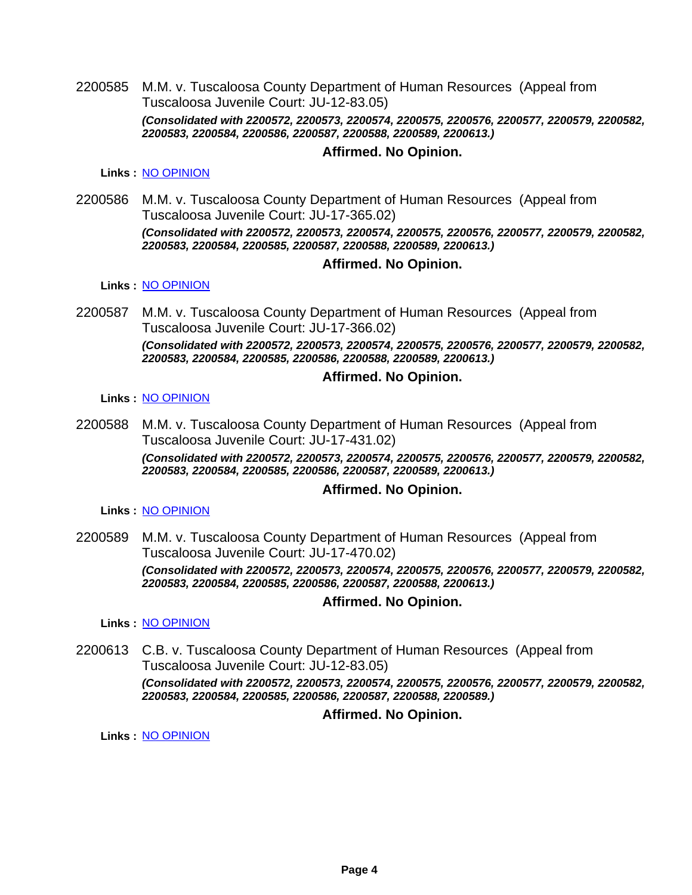2200585 M.M. v. Tuscaloosa County Department of Human Resources (Appeal from Tuscaloosa Juvenile Court: JU-12-83.05) *(Consolidated with 2200572, 2200573, 2200574, 2200575, 2200576, 2200577, 2200579, 2200582, 2200583, 2200584, 2200586, 2200587, 2200588, 2200589, 2200613.)*

#### **Affirmed. No Opinion.**

**Links :** [NO OPINION](https://acis.alabama.gov/displaydocs.cfm?no=1116655&event=68V0L2J4M)

2200586 M.M. v. Tuscaloosa County Department of Human Resources (Appeal from Tuscaloosa Juvenile Court: JU-17-365.02) *(Consolidated with 2200572, 2200573, 2200574, 2200575, 2200576, 2200577, 2200579, 2200582, 2200583, 2200584, 2200585, 2200587, 2200588, 2200589, 2200613.)*

## **Affirmed. No Opinion.**

**Links :** [NO OPINION](https://acis.alabama.gov/displaydocs.cfm?no=1116655&event=68V0L2J4M)

2200587 M.M. v. Tuscaloosa County Department of Human Resources (Appeal from Tuscaloosa Juvenile Court: JU-17-366.02) *(Consolidated with 2200572, 2200573, 2200574, 2200575, 2200576, 2200577, 2200579, 2200582, 2200583, 2200584, 2200585, 2200586, 2200588, 2200589, 2200613.)*

#### **Affirmed. No Opinion.**

#### **Links :** [NO OPINION](https://acis.alabama.gov/displaydocs.cfm?no=1116655&event=68V0L2J4M)

2200588 M.M. v. Tuscaloosa County Department of Human Resources (Appeal from Tuscaloosa Juvenile Court: JU-17-431.02) *(Consolidated with 2200572, 2200573, 2200574, 2200575, 2200576, 2200577, 2200579, 2200582, 2200583, 2200584, 2200585, 2200586, 2200587, 2200589, 2200613.)*

#### **Affirmed. No Opinion.**

**Links :** [NO OPINION](https://acis.alabama.gov/displaydocs.cfm?no=1116655&event=68V0L2J4M)

2200589 M.M. v. Tuscaloosa County Department of Human Resources (Appeal from Tuscaloosa Juvenile Court: JU-17-470.02) *(Consolidated with 2200572, 2200573, 2200574, 2200575, 2200576, 2200577, 2200579, 2200582, 2200583, 2200584, 2200585, 2200586, 2200587, 2200588, 2200613.)*

#### **Affirmed. No Opinion.**

**Links :** [NO OPINION](https://acis.alabama.gov/displaydocs.cfm?no=1116655&event=68V0L2J4M)

2200613 C.B. v. Tuscaloosa County Department of Human Resources (Appeal from Tuscaloosa Juvenile Court: JU-12-83.05) *(Consolidated with 2200572, 2200573, 2200574, 2200575, 2200576, 2200577, 2200579, 2200582, 2200583, 2200584, 2200585, 2200586, 2200587, 2200588, 2200589.)*

#### **Affirmed. No Opinion.**